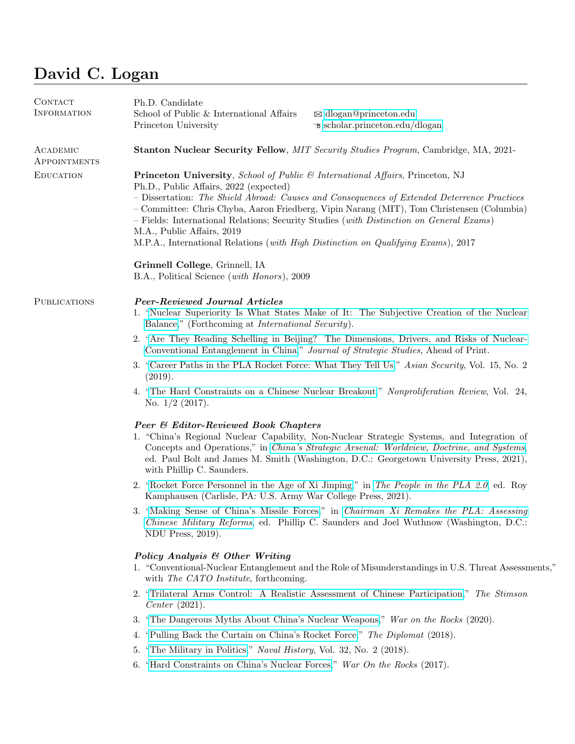# David C. Logan

| CONTACT<br><b>INFORMATION</b> | Ph.D. Candidate<br>School of Public & International Affairs<br>Princeton University                                                                                                                                                                                                                                                                                                                                                                                                                                                                                                                                | $\boxtimes$ dlogan@princeton.edu<br>⊕ scholar.princeton.edu/dlogan |  |  |  |
|-------------------------------|--------------------------------------------------------------------------------------------------------------------------------------------------------------------------------------------------------------------------------------------------------------------------------------------------------------------------------------------------------------------------------------------------------------------------------------------------------------------------------------------------------------------------------------------------------------------------------------------------------------------|--------------------------------------------------------------------|--|--|--|
| ACADEMIC<br>APPOINTMENTS      | Stanton Nuclear Security Fellow, MIT Security Studies Program, Cambridge, MA, 2021-                                                                                                                                                                                                                                                                                                                                                                                                                                                                                                                                |                                                                    |  |  |  |
| <b>EDUCATION</b>              | Princeton University, School of Public & International Affairs, Princeton, NJ<br>Ph.D., Public Affairs, 2022 (expected)<br>- Dissertation: The Shield Abroad: Causes and Consequences of Extended Deterrence Practices<br>- Committee: Chris Chyba, Aaron Friedberg, Vipin Narang (MIT), Tom Christensen (Columbia)<br>- Fields: International Relations; Security Studies (with Distinction on General Exams)<br>M.A., Public Affairs, 2019<br>M.P.A., International Relations (with High Distinction on Qualifying Exams), 2017<br>Grinnell College, Grinnell, IA<br>B.A., Political Science (with Honors), 2009 |                                                                    |  |  |  |
| <b>PUBLICATIONS</b>           | <b>Peer-Reviewed Journal Articles</b><br>1. "Nuclear Superiority Is What States Make of It: The Subjective Creation of the Nuclear<br>Balance," (Forthcoming at International Security).                                                                                                                                                                                                                                                                                                                                                                                                                           |                                                                    |  |  |  |
|                               | 2. "Are They Reading Schelling in Beijing? The Dimensions, Drivers, and Risks of Nuclear-<br>Conventional Entanglement in China," Journal of Strategic Studies, Ahead of Print.                                                                                                                                                                                                                                                                                                                                                                                                                                    |                                                                    |  |  |  |
|                               | 3. "Career Paths in the PLA Rocket Force: What They Tell Us," Asian Security, Vol. 15, No. 2<br>(2019).                                                                                                                                                                                                                                                                                                                                                                                                                                                                                                            |                                                                    |  |  |  |
|                               | 4. "The Hard Constraints on a Chinese Nuclear Breakout," Nonproliferation Review, Vol. 24,<br>No. $1/2$ (2017).                                                                                                                                                                                                                                                                                                                                                                                                                                                                                                    |                                                                    |  |  |  |
|                               | <b>Peer &amp; Editor-Reviewed Book Chapters</b><br>1. "China's Regional Nuclear Capability, Non-Nuclear Strategic Systems, and Integration of<br>Concepts and Operations," in <i>China's Strategic Arsenal: Worldview, Doctrine, and Systems</i> ,<br>ed. Paul Bolt and James M. Smith (Washington, D.C.: Georgetown University Press, 2021),<br>with Phillip C. Saunders.                                                                                                                                                                                                                                         |                                                                    |  |  |  |
|                               | 2. "Rocket Force Personnel in the Age of Xi Jinping," in The People in the PLA 2.0, ed. Roy<br>Kamphausen (Carlisle, PA: U.S. Army War College Press, 2021).                                                                                                                                                                                                                                                                                                                                                                                                                                                       |                                                                    |  |  |  |
|                               | 3. "Making Sense of China's Missile Forces," in Chairman Xi Remakes the PLA: Assessing<br>Chinese Military Reforms, ed. Phillip C. Saunders and Joel Wuthnow (Washington, D.C.:<br>NDU Press, 2019).                                                                                                                                                                                                                                                                                                                                                                                                               |                                                                    |  |  |  |
|                               | Policy Analysis & Other Writing<br>1. "Conventional-Nuclear Entanglement and the Role of Misunderstandings in U.S. Threat Assessments,"<br>with The CATO Institute, forthcoming.                                                                                                                                                                                                                                                                                                                                                                                                                                   |                                                                    |  |  |  |
|                               | 2. "Trilateral Arms Control: A Realistic Assessment of Chinese Participation," The Stimson<br><i>Center</i> $(2021)$ .                                                                                                                                                                                                                                                                                                                                                                                                                                                                                             |                                                                    |  |  |  |
|                               | 3. "The Dangerous Myths About China's Nuclear Weapons," War on the Rocks (2020).                                                                                                                                                                                                                                                                                                                                                                                                                                                                                                                                   |                                                                    |  |  |  |
|                               | "Pulling Back the Curtain on China's Rocket Force," The Diplomat (2018).<br>4.                                                                                                                                                                                                                                                                                                                                                                                                                                                                                                                                     |                                                                    |  |  |  |
|                               | "The Military in Politics," Naval History, Vol. 32, No. 2 (2018).<br>5.                                                                                                                                                                                                                                                                                                                                                                                                                                                                                                                                            |                                                                    |  |  |  |
|                               | "Hard Constraints on China's Nuclear Forces," War On the Rocks (2017).<br>6.                                                                                                                                                                                                                                                                                                                                                                                                                                                                                                                                       |                                                                    |  |  |  |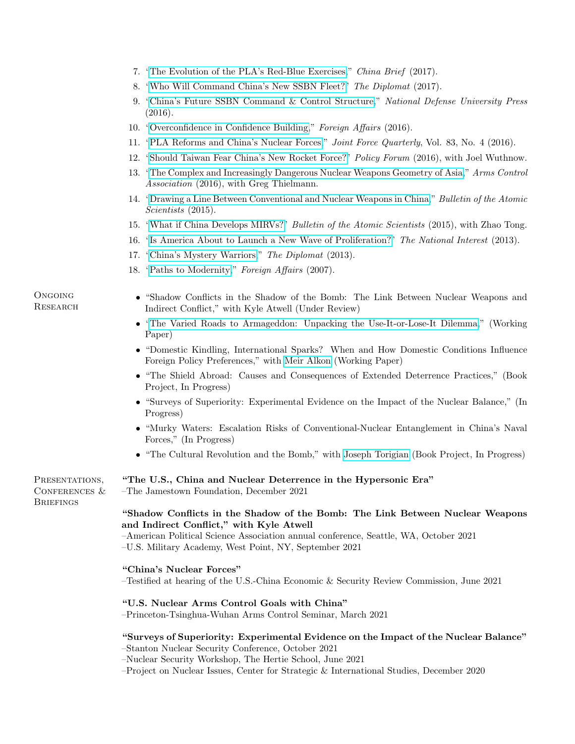- 7. ["The Evolution of the PLA's Red-Blue Exercises,](https://jamestown.org/program/evolution-plas-red-blue-exercises/)" China Brief (2017).
- 8. ["Who Will Command China's New SSBN Fleet?"](https://thediplomat.com/2017/02/who-will-command-chinas-new-ssbn-fleet/) The Diplomat (2017).
- 9. ["China's Future SSBN Command & Control Structure,](https://ndupress.ndu.edu/Media/News/Article/1013472/chinas-future-ssbn-command-and-control-structure/)" National Defense University Press (2016).
- 10. ["Overconfidence in Confidence Building,](https://www.foreignaffairs.com/articles/china/2016-10-06/overconfidence-confidence-building)" Foreign Affairs (2016).
- 11. ["PLA Reforms and China's Nuclear Forces,](https://ndupress.ndu.edu/Media/News/Article/969665/pla-reforms-and-chinas-nuclear-forces/)" Joint Force Quarterly, Vol. 83, No. 4 (2016).
- 12. ["Should Taiwan Fear China's New Rocket Force?"](https://www.policyforum.net/taiwan-fear-chinas-new-rocket-force/) Policy Forum (2016), with Joel Wuthnow.
- 13. ["The Complex and Increasingly Dangerous Nuclear Weapons Geometry of Asia,](https://www.armscontrol.org/sites/default/files/files/TABs/TAB_2016Jul_Nuclear_Geometry_Asia.pdf)" Arms Control Association (2016), with Greg Thielmann.
- 14. ["Drawing a Line Between Conventional and Nuclear Weapons in China,](https://thebulletin.org/2015/05/drawing-a-line-between-conventional-and-nuclear-weapons-in-china/)" Bulletin of the Atomic Scientists (2015).
- 15. ["What if China Develops MIRVs?"](https://thebulletin.org/2015/03/what-if-china-develops-mirvs/) Bulletin of the Atomic Scientists (2015), with Zhao Tong.
- 16. ["Is America About to Launch a New Wave of Proliferation?"](https://nationalinterest.org/commentary/america-about-launch-new-wave-nuclear-proliferation-9611) The National Interest (2013).
- 17. ["China's Mystery Warriors,](https://thediplomat.com/2013/11/chinas-mystery-warriors/)" The Diplomat (2013).
- 18. ["Paths to Modernity,](https://www.foreignaffairs.com/articles/china/2007-11-01/paths-modernity)" Foreign Affairs (2007).
- "Shadow Conflicts in the Shadow of the Bomb: The Link Between Nuclear Weapons and Indirect Conflict," with Kyle Atwell (Under Review)
	- ["The Varied Roads to Armageddon: Unpacking the Use-It-or-Lose-It Dilemma,](https://scholar.princeton.edu/sites/default/files/dlogan/files/logan_david_-_the_varied_roads_to_armageddon_-_july_2020.pdf)" (Working Paper)
	- "Domestic Kindling, International Sparks? When and How Domestic Conditions Influence Foreign Policy Preferences," with [Meir Alkon](https://meiralkon.com/) (Working Paper)
	- "The Shield Abroad: Causes and Consequences of Extended Deterrence Practices," (Book Project, In Progress)
	- "Surveys of Superiority: Experimental Evidence on the Impact of the Nuclear Balance," (In Progress)
	- "Murky Waters: Escalation Risks of Conventional-Nuclear Entanglement in China's Naval Forces," (In Progress)
	- "The Cultural Revolution and the Bomb," with [Joseph Torigian](http://josephtorigian.com/) (Book Project, In Progress)

PRESENTATIONS, CONFERENCES & **BRIEFINGS** 

#### "The U.S., China and Nuclear Deterrence in the Hypersonic Era"

–The Jamestown Foundation, December 2021

#### "Shadow Conflicts in the Shadow of the Bomb: The Link Between Nuclear Weapons and Indirect Conflict," with Kyle Atwell

–American Political Science Association annual conference, Seattle, WA, October 2021 –U.S. Military Academy, West Point, NY, September 2021

#### "China's Nuclear Forces"

–Testified at hearing of the U.S.-China Economic & Security Review Commission, June 2021

#### "U.S. Nuclear Arms Control Goals with China"

–Princeton-Tsinghua-Wuhan Arms Control Seminar, March 2021

## "Surveys of Superiority: Experimental Evidence on the Impact of the Nuclear Balance"

–Stanton Nuclear Security Conference, October 2021

- –Nuclear Security Workshop, The Hertie School, June 2021
- –Project on Nuclear Issues, Center for Strategic & International Studies, December 2020

**ONGOING RESEARCH**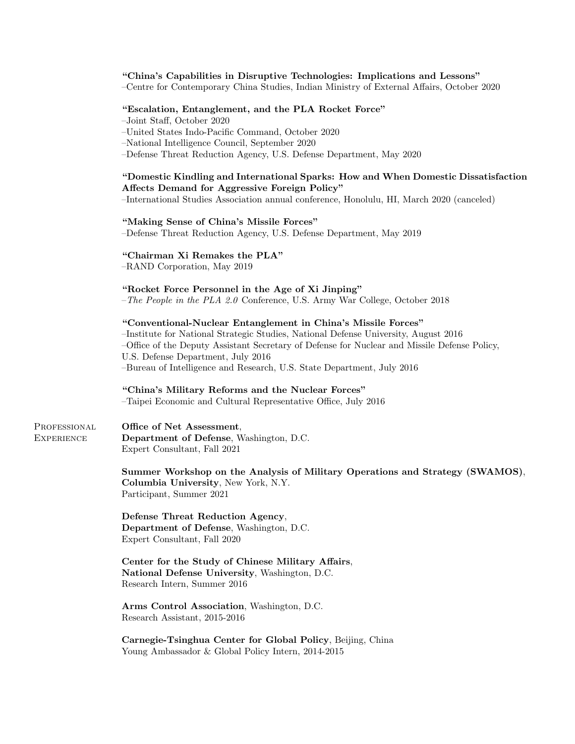#### "China's Capabilities in Disruptive Technologies: Implications and Lessons"

–Centre for Contemporary China Studies, Indian Ministry of External Affairs, October 2020

#### "Escalation, Entanglement, and the PLA Rocket Force"

–Joint Staff, October 2020

–United States Indo-Pacific Command, October 2020

–National Intelligence Council, September 2020

–Defense Threat Reduction Agency, U.S. Defense Department, May 2020

#### "Domestic Kindling and International Sparks: How and When Domestic Dissatisfaction Affects Demand for Aggressive Foreign Policy"

–International Studies Association annual conference, Honolulu, HI, March 2020 (canceled)

#### "Making Sense of China's Missile Forces"

–Defense Threat Reduction Agency, U.S. Defense Department, May 2019

#### "Chairman Xi Remakes the PLA"

–RAND Corporation, May 2019

#### "Rocket Force Personnel in the Age of Xi Jinping"

–The People in the PLA 2.0 Conference, U.S. Army War College, October 2018

#### "Conventional-Nuclear Entanglement in China's Missile Forces"

–Institute for National Strategic Studies, National Defense University, August 2016 –Office of the Deputy Assistant Secretary of Defense for Nuclear and Missile Defense Policy, U.S. Defense Department, July 2016 –Bureau of Intelligence and Research, U.S. State Department, July 2016

### "China's Military Reforms and the Nuclear Forces"

–Taipei Economic and Cultural Representative Office, July 2016

PROFESSIONAL **EXPERIENCE** Office of Net Assessment, Department of Defense, Washington, D.C. Expert Consultant, Fall 2021

> Summer Workshop on the Analysis of Military Operations and Strategy (SWAMOS), Columbia University, New York, N.Y. Participant, Summer 2021

Defense Threat Reduction Agency, Department of Defense, Washington, D.C. Expert Consultant, Fall 2020

Center for the Study of Chinese Military Affairs, National Defense University, Washington, D.C. Research Intern, Summer 2016

Arms Control Association, Washington, D.C. Research Assistant, 2015-2016

Carnegie-Tsinghua Center for Global Policy, Beijing, China Young Ambassador & Global Policy Intern, 2014-2015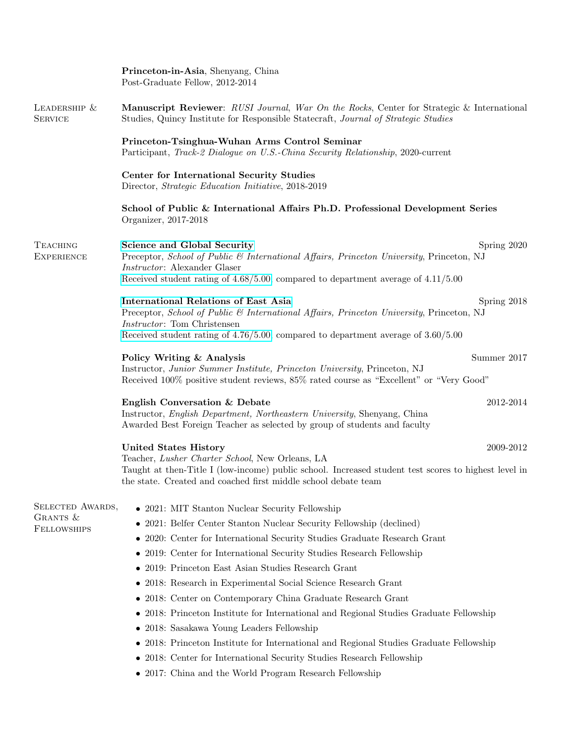|                                                                                                                                                                                                                                                                                         | Princeton-in-Asia, Shenyang, China<br>Post-Graduate Fellow, 2012-2014                                                                                                                                                                        |                                                                                                                                                                                                                                                                                |  |  |
|-----------------------------------------------------------------------------------------------------------------------------------------------------------------------------------------------------------------------------------------------------------------------------------------|----------------------------------------------------------------------------------------------------------------------------------------------------------------------------------------------------------------------------------------------|--------------------------------------------------------------------------------------------------------------------------------------------------------------------------------------------------------------------------------------------------------------------------------|--|--|
| LEADERSHIP &<br><b>SERVICE</b>                                                                                                                                                                                                                                                          | Manuscript Reviewer: RUSI Journal, War On the Rocks, Center for Strategic & International<br>Studies, Quincy Institute for Responsible Statecraft, Journal of Strategic Studies                                                              |                                                                                                                                                                                                                                                                                |  |  |
|                                                                                                                                                                                                                                                                                         | Princeton-Tsinghua-Wuhan Arms Control Seminar<br>Participant, <i>Track-2 Dialogue on U.S.-China Security Relationship</i> , 2020-current<br>Center for International Security Studies<br>Director, Strategic Education Initiative, 2018-2019 |                                                                                                                                                                                                                                                                                |  |  |
|                                                                                                                                                                                                                                                                                         |                                                                                                                                                                                                                                              |                                                                                                                                                                                                                                                                                |  |  |
|                                                                                                                                                                                                                                                                                         | <b>TEACHING</b><br><b>EXPERIENCE</b>                                                                                                                                                                                                         | <b>Science and Global Security</b><br>Spring 2020<br>Preceptor, School of Public & International Affairs, Princeton University, Princeton, NJ<br><i>Instructor:</i> Alexander Glaser<br>Received student rating of $4.68/5.00$ , compared to department average of $4.11/5.00$ |  |  |
| <b>International Relations of East Asia</b><br>Spring 2018<br>Preceptor, School of Public & International Affairs, Princeton University, Princeton, NJ<br><i>Instructor</i> : Tom Christensen<br>Received student rating of $4.76/5.00$ , compared to department average of $3.60/5.00$ |                                                                                                                                                                                                                                              |                                                                                                                                                                                                                                                                                |  |  |
| Summer 2017<br>Policy Writing & Analysis<br>Instructor, Junior Summer Institute, Princeton University, Princeton, NJ<br>Received 100% positive student reviews, 85% rated course as "Excellent" or "Very Good"                                                                          |                                                                                                                                                                                                                                              |                                                                                                                                                                                                                                                                                |  |  |
| English Conversation & Debate<br>2012-2014<br>Instructor, <i>English Department</i> , <i>Northeastern University</i> , Shenyang, China<br>Awarded Best Foreign Teacher as selected by group of students and faculty                                                                     |                                                                                                                                                                                                                                              |                                                                                                                                                                                                                                                                                |  |  |
|                                                                                                                                                                                                                                                                                         | <b>United States History</b><br>2009-2012                                                                                                                                                                                                    |                                                                                                                                                                                                                                                                                |  |  |
|                                                                                                                                                                                                                                                                                         | Teacher, Lusher Charter School, New Orleans, LA<br>Taught at then-Title I (low-income) public school. Increased student test scores to highest level in<br>the state. Created and coached first middle school debate team                    |                                                                                                                                                                                                                                                                                |  |  |
| SELECTED AWARDS,                                                                                                                                                                                                                                                                        | • 2021: MIT Stanton Nuclear Security Fellowship                                                                                                                                                                                              |                                                                                                                                                                                                                                                                                |  |  |
| GRANTS &                                                                                                                                                                                                                                                                                | 2021: Belfer Center Stanton Nuclear Security Fellowship (declined)<br>$\bullet$                                                                                                                                                              |                                                                                                                                                                                                                                                                                |  |  |
| <b>FELLOWSHIPS</b>                                                                                                                                                                                                                                                                      | 2020: Center for International Security Studies Graduate Research Grant                                                                                                                                                                      |                                                                                                                                                                                                                                                                                |  |  |
|                                                                                                                                                                                                                                                                                         | 2019: Center for International Security Studies Research Fellowship                                                                                                                                                                          |                                                                                                                                                                                                                                                                                |  |  |
|                                                                                                                                                                                                                                                                                         | 2019: Princeton East Asian Studies Research Grant<br>$\bullet$                                                                                                                                                                               |                                                                                                                                                                                                                                                                                |  |  |
|                                                                                                                                                                                                                                                                                         | 2018: Research in Experimental Social Science Research Grant                                                                                                                                                                                 |                                                                                                                                                                                                                                                                                |  |  |
|                                                                                                                                                                                                                                                                                         | 2018: Center on Contemporary China Graduate Research Grant                                                                                                                                                                                   |                                                                                                                                                                                                                                                                                |  |  |
|                                                                                                                                                                                                                                                                                         | 2018: Princeton Institute for International and Regional Studies Graduate Fellowship<br>٠                                                                                                                                                    |                                                                                                                                                                                                                                                                                |  |  |
|                                                                                                                                                                                                                                                                                         | 2018: Sasakawa Young Leaders Fellowship                                                                                                                                                                                                      |                                                                                                                                                                                                                                                                                |  |  |
|                                                                                                                                                                                                                                                                                         | 2018: Princeton Institute for International and Regional Studies Graduate Fellowship                                                                                                                                                         |                                                                                                                                                                                                                                                                                |  |  |
|                                                                                                                                                                                                                                                                                         | • 2018: Center for International Security Studies Research Fellowship                                                                                                                                                                        |                                                                                                                                                                                                                                                                                |  |  |
|                                                                                                                                                                                                                                                                                         | • 2017: China and the World Program Research Fellowship                                                                                                                                                                                      |                                                                                                                                                                                                                                                                                |  |  |